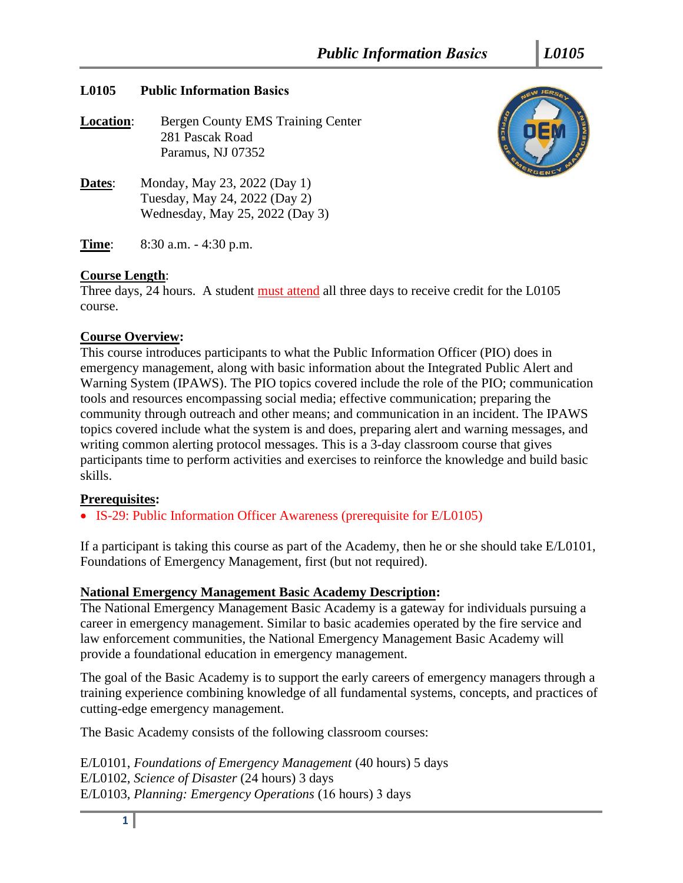## **L0105 Public Information Basics**

**Location:** Bergen County EMS Training Center 281 Pascak Road Paramus, NJ 07352

**Dates:** Monday, May 23, 2022 (Day 1) Tuesday, May 24, 2022 (Day 2) Wednesday, May 25, 2022 (Day 3)



### **Course Length**:

Three days, 24 hours. A student must attend all three days to receive credit for the L0105 course.

# **Course Overview:**

This course introduces participants to what the Public Information Officer (PIO) does in emergency management, along with basic information about the Integrated Public Alert and Warning System (IPAWS). The PIO topics covered include the role of the PIO; communication tools and resources encompassing social media; effective communication; preparing the community through outreach and other means; and communication in an incident. The IPAWS topics covered include what the system is and does, preparing alert and warning messages, and writing common alerting protocol messages. This is a 3-day classroom course that gives participants time to perform activities and exercises to reinforce the knowledge and build basic skills.

# **Prerequisites:**

• IS-29: Public Information Officer Awareness (prerequisite for E/L0105)

If a participant is taking this course as part of the Academy, then he or she should take E/L0101, Foundations of Emergency Management, first (but not required).

# **National Emergency Management Basic Academy Description:**

The National Emergency Management Basic Academy is a gateway for individuals pursuing a career in emergency management. Similar to basic academies operated by the fire service and law enforcement communities, the National Emergency Management Basic Academy will provide a foundational education in emergency management.

The goal of the Basic Academy is to support the early careers of emergency managers through a training experience combining knowledge of all fundamental systems, concepts, and practices of cutting-edge emergency management.

The Basic Academy consists of the following classroom courses:

E/L0101, *Foundations of Emergency Management* (40 hours) 5 days E/L0102, *Science of Disaster* (24 hours) 3 days E/L0103, *Planning: Emergency Operations* (16 hours) 3 days